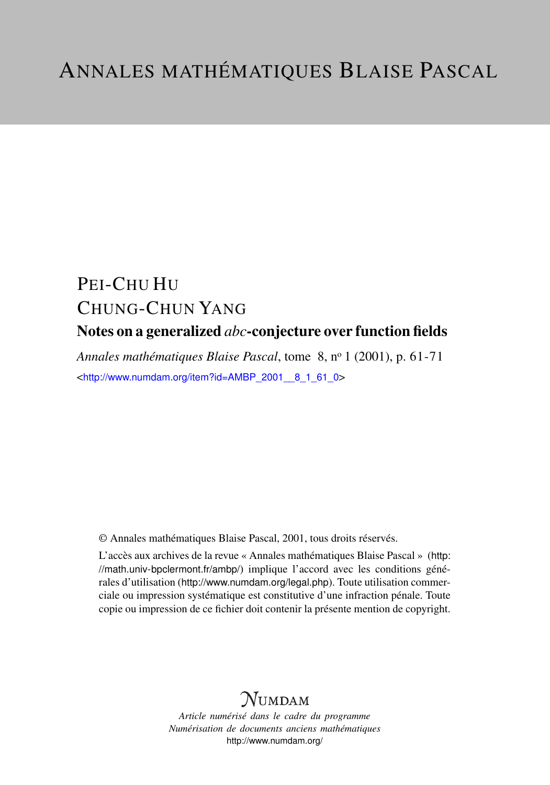# PEI-CHU HU CHUNG-CHUN YANG Notes on a generalized *abc*-conjecture over function fields

*Annales mathématiques Blaise Pascal*, tome 8, n<sup>o</sup> 1 (2001), p. 61-71 <[http://www.numdam.org/item?id=AMBP\\_2001\\_\\_8\\_1\\_61\\_0](http://www.numdam.org/item?id=AMBP_2001__8_1_61_0)>

© Annales mathématiques Blaise Pascal, 2001, tous droits réservés.

L'accès aux archives de la revue « Annales mathématiques Blaise Pascal » ([http:](http://math.univ-bpclermont.fr/ambp/) [//math.univ-bpclermont.fr/ambp/](http://math.univ-bpclermont.fr/ambp/)) implique l'accord avec les conditions générales d'utilisation (<http://www.numdam.org/legal.php>). Toute utilisation commerciale ou impression systématique est constitutive d'une infraction pénale. Toute copie ou impression de ce fichier doit contenir la présente mention de copyright.

# **NUMDAM**

*Article numérisé dans le cadre du programme Numérisation de documents anciens mathématiques* <http://www.numdam.org/>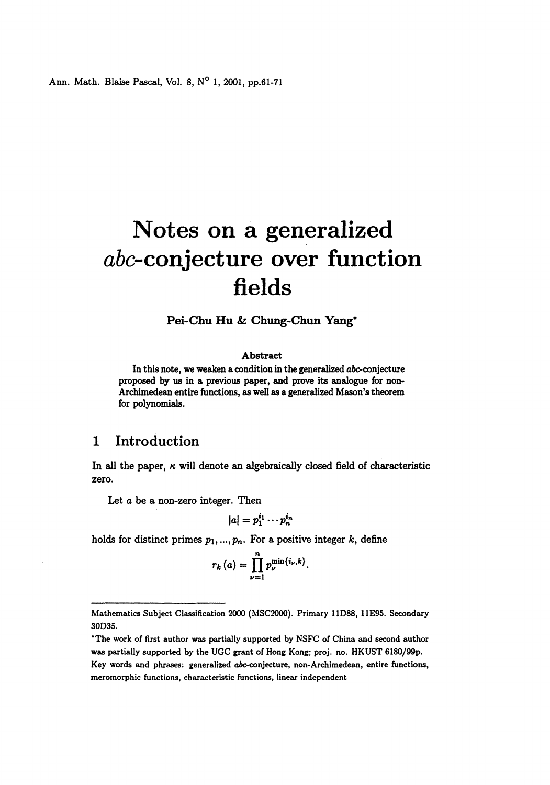Ann. Math. Blaise Pascal, Vol. 8, N° 1, 2001, pp.61-71

# Notes on a generalized abc-conjecture over function fields

Pei-Chu Hu & Chung-Chun Yang\*

#### Abstract

In this note, we weaken a condition in the generalized abc-conjecture proposed by us in a previous paper, and prove its analogue for non-Archimedean entire functions, as well as a generalized Mason's theorem for polynomials.

## 1 Introduction

In all the paper,  $\kappa$  will denote an algebraically closed field of characteristic zero.

Let a be a non-zero integer. Then

$$
|a|=p_1^{i_1}\cdots p_n^{i_n}
$$

holds for distinct primes  $p_1, ..., p_n$ . For a positive integer k, define

$$
r_k(a) = \prod_{\nu=1}^n p_{\nu}^{\min\{i_{\nu},k\}}
$$

Mathematics Subject Classification 2000 (MSC2000). Primary 11D88, 11E95. Secondary 30D35.

<sup>\*</sup>The work of first author was partially supported by NSFC of China and second author was partially supported by the UGC grant of Hong Kong; proj. no. HKUST 6180/99p. Key words and phrases: generalized abc-conjecture, non-Archimedean, entire functions, meromorphic functions, characteristic functions, linear independent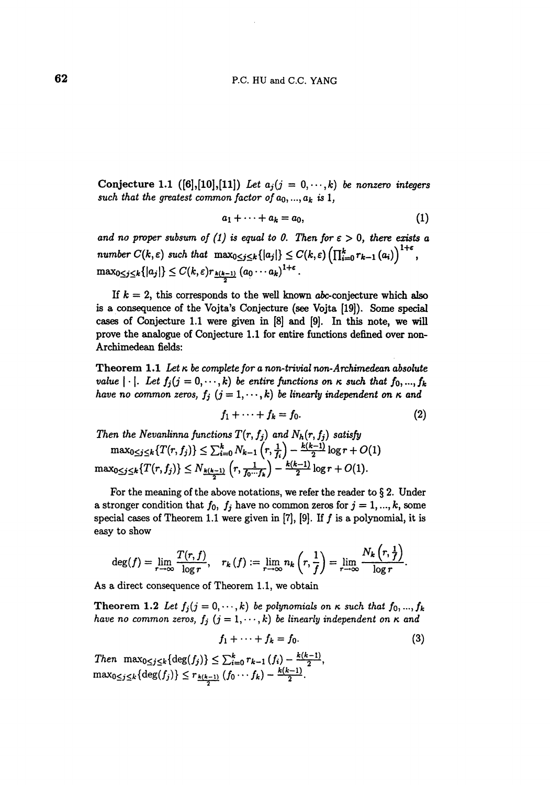Conjecture 1.1 ( $[6]$ ,  $[10]$ ,  $[11]$ ) Let  $a_i (j = 0, \dots, k)$  be nonzero integers such that the greatest common factor of  $a_0, ..., a_k$  is 1,

$$
a_1+\cdots+a_k=a_0,\qquad \qquad (1)
$$

and no proper subsum of (1) is equal to 0. Then for  $\varepsilon > 0$ , there exists a number  $C(k,\varepsilon)$  such that  $\max_{0\leq j\leq k}\{|a_j|\}\leq C(k,\varepsilon)\left(\prod_{i=0}^kr_{k-1}(a_i)\right)^{1+\varepsilon}$ ,  $\max_{0\leq j\leq k}\{|a_j|\}\leq C(k,\varepsilon)r_{k(k-1)}(a_0\cdots a_k)^{1+\varepsilon}.$ 

If  $k = 2$ , this corresponds to the well known abc-conjecture which also is a consequence of the Vojta's Conjecture (see Vojta [19]). Some special cases of Conjecture 1.1 were given in  $[8]$  and  $[9]$ . In this note, we will prove the analogue of Conjecture 1.1 for entire functions defined over non-Archimedean fields:

Theorem 1.1 Let  $\kappa$  be complete for a non-trivial non-Archimedean absolute value  $|\cdot|$ . Let  $f_j$   $(j = 0, \dots, k)$  be entire functions on  $\kappa$  such that  $f_0, ..., f_k$ have no common zeros,  $f_j$   $(j = 1, \dots, k)$  be linearly independent on  $\kappa$  and

$$
f_1 + \cdots + f_k = f_0. \tag{2}
$$

Then the Nevanlinna functions  $T(r, f_j)$  and  $N_h(r, f_j)$  satisfy  $\max_{0\leq j\leq k}\{T(r,f_j)\}\leq \sum_{i=0}^k N_{k-1}\left(r,\frac{1}{f_i}\right) - \frac{k(k-1)}{2}\log r + O(1)$  $\max_{0 \leq j \leq k} \{T(r,f_j)\} \leq N_{\frac{k(k-1)}{2}} \left(r, \frac{1}{f_0 \cdots f_k}\right) - \frac{k(k-1)}{2} \log r + O(1).$ 

For the meaning of the above notations, we refer the reader to  $\S 2$ . Under a stronger condition that  $f_0$ ,  $f_j$  have no common zeros for  $j = 1, ..., k$ , some special cases of Theorem 1.1 were given in  $[7]$ ,  $[9]$ . If  $f$  is a polynomial, it is easy to show

$$
\deg(f)=\lim_{r\to\infty}\frac{T(r,f)}{\log r},\quad r_k(f):=\lim_{r\to\infty}n_k\left(r,\frac{1}{f}\right)=\lim_{r\to\infty}\frac{N_k\left(r,\frac{1}{f}\right)}{\log r}.
$$

As a direct consequence of Theorem 1.1, we obtain

Theorem 1.2 Let  $f_j$   $(j = 0, \dots, k)$  be polynomials on  $\kappa$  such that  $f_0$ , ...,  $f_k$ have no common zeros,  $f_j$   $(j = 1, \dots, k)$  be linearly independent on  $\kappa$  and

$$
f_1 + \cdots + f_k = f_0. \tag{3}
$$

Then  $\max_{0 \le j \le k} {\deg(f_j)} \le \sum_{i=0}^k r_{k-1}(f_i) - \frac{k(k-1)}{2},$ As a direct consequence of Theorem 1.1, we obt<br>
Theorem 1.2 Let  $f_j(j = 0, ..., k)$  be polynomi<br>
have no common zeros,  $f_j$   $(j = 1, ..., k)$  be line<br>  $f_1 + \cdots + f_k = f_0$ .<br>
Then  $\max_{0 \le j \le k} {\deg(f_j)} \le \sum_{i=0}^k r_{k-1} (f_i) - \frac{k(k-1)}{2}$ <br>  $\max_{0 \le j$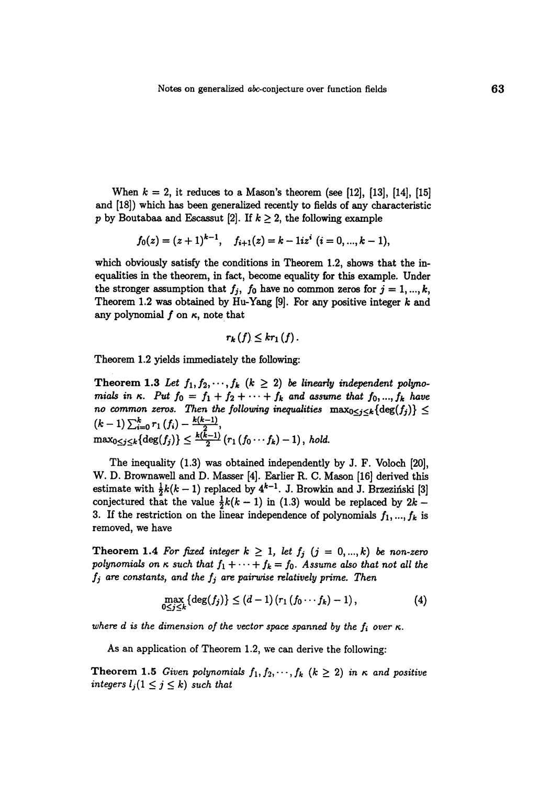When  $k = 2$ , it reduces to a Mason's theorem (see [12], [13], [14], [15] and [18]) which has been generalized recently to fields of any characteristic p by Boutabaa and Escassut [2]. If  $k \geq 2$ , the following example

$$
f_0(z)=(z+1)^{k-1}, \quad f_{i+1}(z)=k-1iz^i \ (i=0,...,k-1),
$$

which obviously satisfy the conditions in Theorem 1.2, shows that the inequalities in the theorem, in fact, become equality for this example. Under the stronger assumption that  $f_j$ ,  $f_0$  have no common zeros for  $j = 1, ..., k$ , Theorem 1.2 was obtained by Hu-Yang [9]. For any positive integer  $k$  and any polynomial  $f$  on  $\kappa$ , note that

$$
r_{k}(f)\leq kr_{1}(f).
$$

Theorem 1.2 yields immediately the following:

Theorem 1.3 Let  $f_1, f_2, \dots, f_k$   $(k \geq 2)$  be linearly independent polynomials in  $\kappa$ . Put  $f_0 = f_1 + f_2 + \cdots + f_k$  and assume that  $f_0, ..., f_k$  have no common zeros. Then the following inequalities  $\max_{0 \leq j \leq k} {\deg(f_j)} \leq$  $(\kappa - 1)$   $\sum_{i=0}^{n}$   $(1)(i)$   $\frac{n}{2}$ ,  $\max_{0\leq j\leq k}\{\deg(J_j)\}\leq \frac{1}{2}$  (r<sub>1</sub> (fo  $\cdots$  fk) -1), hold.

The inequality  $(1.3)$  was obtained independently by J. F. Voloch  $[20]$ , W. D. Brownawell and D. Masser [4]. Earlier R. C. Mason [16] derived this estimate with  $\frac{1}{2}k(k-1)$  replaced by  $4^{k-1}$ . J. Browkin and J. Brzezinski [3] conjectured that the value  $\frac{1}{2}k(k-1)$  in (1.3) would be replaced by  $2k$  -3. If the restriction on the linear independence of polynomials  $f_1, ..., f_k$  is removed, we have

Theorem 1.4 For fixed integer  $k \geq 1$ , let  $f_j$   $(j = 0, ..., k)$  be non-zero polynomials on  $\kappa$  such that  $f_1 + \cdots + f_k = f_0$ . Assume also that not all the  $f_j$  are constants, and the  $f_j$  are pairwise relatively prime. Then

$$
\max_{0 \le j \le k} \{ \deg(f_j) \} \le (d-1) \left( r_1 \left( f_0 \cdots f_k \right) - 1 \right), \tag{4}
$$

where d is the dimension of the vector space spanned by the  $f_i$  over  $\kappa$ .

As an application of Theorem 1.2, we can derive the following:

**Theorem 1.5** Given polynomials  $f_1, f_2, \dots, f_k$   $(k \geq 2)$  in  $\kappa$  and positive integers  $l_j (1 \leq j \leq k)$  such that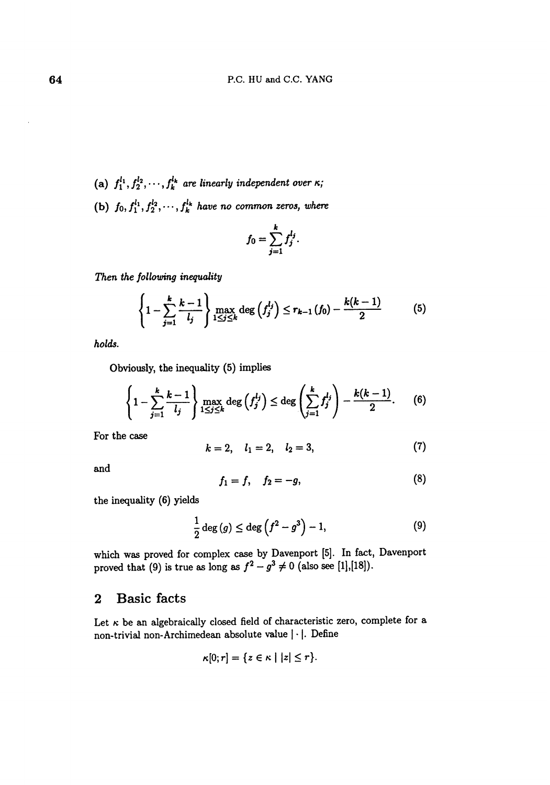- (a)  $f_1^{l_1}, f_2^{l_2}, \cdots, f_k^{l_k}$  are linearly independent over  $\kappa$ ;
- (b)  $f_0, f_1^{l_1}, f_2^{l_2}, \cdots, f_k^{l_k}$  have no common zeros, where

$$
f_0=\sum_{j=1}^k f_j^{l_j}.
$$

Then the following inequality

$$
\left\{1-\sum_{j=1}^k\frac{k-1}{l_j}\right\}\max_{1\leq j\leq k}\deg\left(f_j^{l_j}\right)\leq r_{k-1}\left(f_0\right)-\frac{k(k-1)}{2}\hspace{1cm}(5)
$$

holds.

Obviously, the inequality (5) implies

$$
\left\{1-\sum_{j=1}^k\frac{k-1}{l_j}\right\}\max_{1\leq j\leq k}\deg\left(f_j^{l_j}\right)\leq\deg\left(\sum_{j=1}^k f_j^{l_j}\right)-\frac{k(k-1)}{2}.\qquad(6)
$$

For the case

$$
k = 2, \quad l_1 = 2, \quad l_2 = 3,\tag{7}
$$

and

$$
f_1 = f, \quad f_2 = -g,\tag{8}
$$

the inequality (6) yields

$$
\frac{1}{2}\deg\left(g\right)\leq\deg\left(f^2-g^3\right)-1,\tag{9}
$$

which was proved for complex case by Davenport [5]. In fact, Davenport proved that (9) is true as long as  $f^2 - g^3 \neq 0$  (also see [1],[18]).

### 2 Basic facts

Let  $\kappa$  be an algebraically closed field of characteristic zero, complete for a non-trivial non-Archimedean absolute value  $|\cdot|$ . Define

$$
\kappa[0;r] = \{z \in \kappa \mid |z| \leq r\}.
$$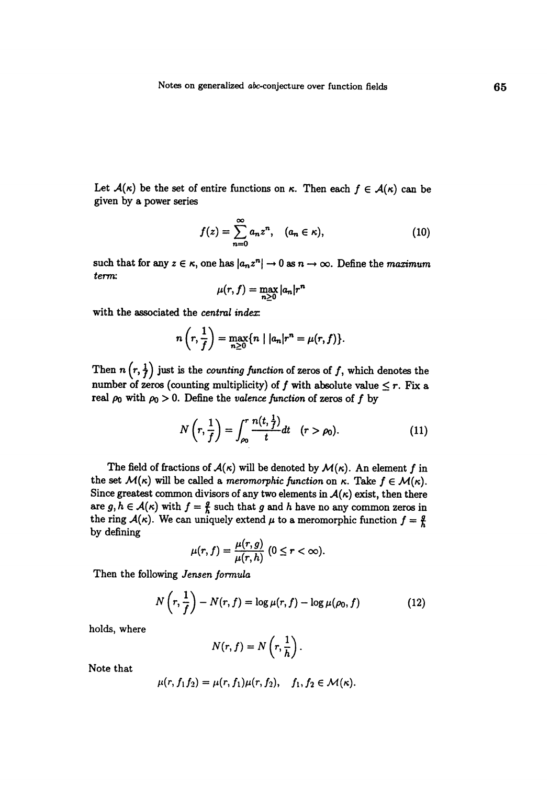Let  $A(\kappa)$  be the set of entire functions on  $\kappa$ . Then each  $f \in A(\kappa)$  can be given by a power series

$$
f(z) = \sum_{n=0}^{\infty} a_n z^n, \quad (a_n \in \kappa), \tag{10}
$$

such that for any  $z \in \kappa$ , one has  $|a_n z^n| \to 0$  as  $n \to \infty$ . Define the maximum term:

$$
\mu(r,f)=\max_{n\geq 0}|a_n|r^n
$$

with the associated the central index:

$$
n\left(r,\frac{1}{f}\right)=\max_{n\geq 0}\{n\mid |a_n|r^n=\mu(r,f)\}.
$$

Then  $n\left(r, \frac{1}{f}\right)$  just is the *counting function* of zeros of f, which denotes the number of zeros (counting multiplicity) of f with absolute value  $\leq r$ . Fix a real  $\rho_0$  with  $\rho_0 > 0$ . Define the valence function of zeros of f by

$$
N\left(r,\frac{1}{f}\right)=\int_{\rho_0}^r\frac{n(t,\frac{1}{f})}{t}dt\quad(r>\rho_0).
$$
 (11)

The field of fractions of  $\mathcal{A}(\kappa)$  will be denoted by  $\mathcal{M}(\kappa)$ . An element f in the set  $M(\kappa)$  will be called a *meromorphic function* on  $\kappa$ . Take  $f \in M(\kappa)$ . Since greatest common divisors of any two elements in  $A(\kappa)$  exist, then there are  $g, h \in \mathcal{A}(\kappa)$  with  $f = \frac{g}{h}$  such that g and h have no any common zeros in the ring  $A(\kappa)$ . We can uniquely extend  $\mu$  to a meromorphic function  $f = \frac{g}{h}$ by defining

$$
\mu(r,f)=\frac{\mu(r,g)}{\mu(r,h)}\ (0\leq r<\infty).
$$

Then the following Jensen formula

$$
N\left(r,\frac{1}{f}\right)-N(r,f)=\log\mu(r,f)-\log\mu(\rho_0,f) \tag{12}
$$

holds, where

$$
N(r, f) = N\left(r, \frac{1}{h}\right).
$$

Note that

$$
\mu(r, f_1 f_2) = \mu(r, f_1)\mu(r, f_2), \quad f_1, f_2 \in \mathcal{M}(\kappa).
$$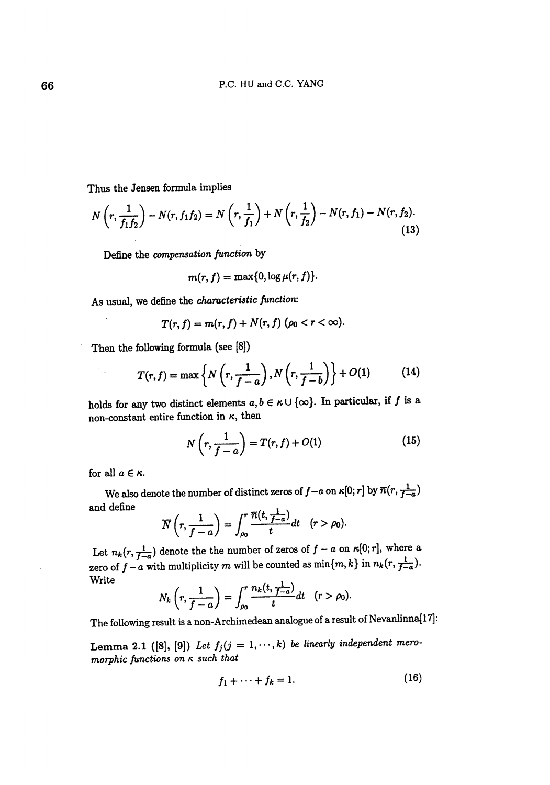Thus the Jensen formula implies

$$
N\left(r,\frac{1}{f_1f_2}\right) - N(r,f_1f_2) = N\left(r,\frac{1}{f_1}\right) + N\left(r,\frac{1}{f_2}\right) - N(r,f_1) - N(r,f_2). \tag{13}
$$

Define the compensation function by

$$
m(r, f) = \max\{0, \log \mu(r, f)\}.
$$

As usual, we define the characteristic function:

$$
T(r, f) = m(r, f) + N(r, f) \ (\rho_0 < r < \infty).
$$

Then the following formula (see [8])

$$
T(r, f) = \max\left\{N\left(r, \frac{1}{f-a}\right), N\left(r, \frac{1}{f-b}\right)\right\} + O(1) \tag{14}
$$

holds for any two distinct elements  $a, b \in \kappa \cup \{\infty\}$ . In particular, if f is a non-constant entire function in  $\kappa$ , then

$$
N\left(r,\frac{1}{f-a}\right) = T(r,f) + O(1) \tag{15}
$$

for all  $a \in \kappa$ .

 $\sim$  .

We also denote the number of distinct zeros of  $f-a$  on  $\kappa[0;r]$  by  $\overline{n}(r, \frac{1}{f-a})$ and define

$$
\overline{N}\left(r,\frac{1}{f-a}\right)=\int_{\rho_0}^r\frac{\overline{n}(t,\frac{1}{f-a})}{t}dt\quad(r>\rho_0).
$$

Let  $n_k(r, \frac{1}{f-a})$  denote the the number of zeros of  $f - a$  on  $\kappa[0; r]$ , where a zero of  $f - a$  with multiplicity m will be counted as  $\min\{m, k\}$  in  $n_k(r, \frac{1}{f-a})$ . Write

$$
N_k\left(r,\frac{1}{f-a}\right)=\int_{\rho_0}^r\frac{n_k(t,\frac{1}{f-a})}{t}dt\quad(r>\rho_0).
$$

The following result is a non-Archimedean analogue of a result of Nevanlinna[17]:

Lemma 2.1 ([8], [9]) Let  $f_j(j = 1, \dots, k)$  be linearly independent meromorphic functions on  $\kappa$  such that

$$
f_1 + \cdots + f_k = 1. \tag{16}
$$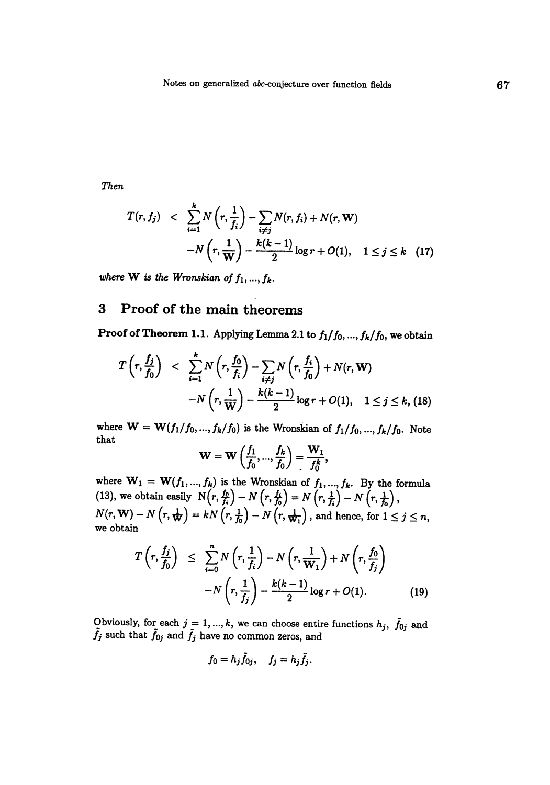7hen

$$
T(r, f_j) < \sum_{i=1}^{k} N\left(r, \frac{1}{f_i}\right) - \sum_{i \neq j} N(r, f_i) + N(r, \mathbf{W}) - N\left(r, \frac{1}{\mathbf{W}}\right) - \frac{k(k-1)}{2} \log r + O(1), \quad 1 \leq j \leq k \quad (17)
$$

where W is the Wronskian of  $f_1, ..., f_k$ .

## 3 Proof of the main theorems

Proof of Theorem 1.1. Applying Lemma 2.1 to  $f_1/f_0, ..., f_k/f_0$ , we obtain

$$
T\left(r, \frac{f_j}{f_0}\right) < \sum_{i=1}^k N\left(r, \frac{f_0}{f_i}\right) - \sum_{i \neq j} N\left(r, \frac{f_i}{f_0}\right) + N(r, \mathbf{W})
$$
\n
$$
-N\left(r, \frac{1}{\mathbf{W}}\right) - \frac{k(k-1)}{2}\log r + O(1), \quad 1 \leq j \leq k, \text{ (18)}
$$

where  $W = W(f_1/f_0, ..., f_k/f_0)$  is the Wronskian of  $f_1/f_0, ..., f_k/f_0$ . Note that

$$
W = W\left(\frac{f_1}{f_0}, ..., \frac{f_k}{f_0}\right) = \frac{W_1}{f_0^k},
$$

where  $\mathbf{W}_1 = \mathbf{W}(f_1, ..., f_k)$  is the Wronskian of  $f_1, ..., f_k$ . By the formula (13), we obtain easily  $N(r, \frac{f_0}{f_i}) - N(r, \frac{f_i}{f_0}) = N(r, \frac{1}{f_i}) - N(r, \frac{1}{f_0})$ ,  $N(r, W) - N\left(r, \frac{1}{W}\right) = kN\left(r, \frac{1}{f_0}\right) - N\left(r, \frac{1}{W_1}\right)$ , and hence, for  $1 \leq j \leq n$ , we obtain

$$
T\left(r, \frac{f_j}{f_0}\right) \leq \sum_{i=0}^n N\left(r, \frac{1}{f_i}\right) - N\left(r, \frac{1}{W_1}\right) + N\left(r, \frac{f_0}{f_j}\right)
$$

$$
-N\left(r, \frac{1}{f_j}\right) - \frac{k(k-1)}{2}\log r + O(1). \tag{19}
$$

Obviously, for each  $j = 1, ..., k$ , we can choose entire functions  $h_j$ ,  $\tilde{f}_{0j}$  and  $\tilde{f}_j$  such that  $\tilde{f}_{0j}$  and  $\tilde{f}_j$  have no common zeros, and

$$
f_0=h_j\tilde{f}_{0j},\quad f_j=h_j\tilde{f}_j.
$$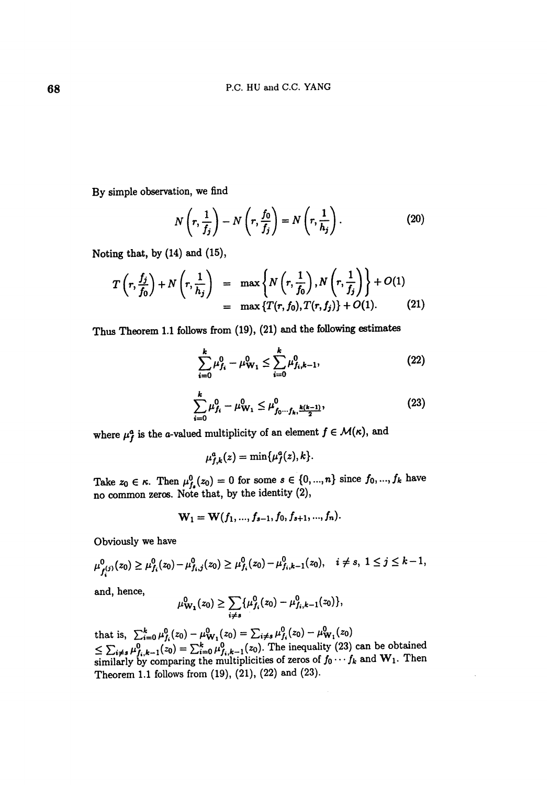By simple observation, we find

$$
N\left(r,\frac{1}{f_j}\right)-N\left(r,\frac{f_0}{f_j}\right)=N\left(r,\frac{1}{h_j}\right).
$$
 (20)

Noting that, by (14) and (15),

$$
T\left(r,\frac{f_j}{f_0}\right) + N\left(r,\frac{1}{h_j}\right) = \max\left\{N\left(r,\frac{1}{f_0}\right), N\left(r,\frac{1}{f_j}\right)\right\} + O(1)
$$
  
= 
$$
\max\left\{T(r,f_0), T(r,f_j)\right\} + O(1).
$$
 (21)

Thus Theorem I.I follows from (19), (21) and the following estimates

$$
\sum_{i=0}^{k} \mu_{f_i}^0 - \mu_{\mathbf{W}_1}^0 \le \sum_{i=0}^{k} \mu_{f_i, k-1}^0,
$$
 (22)

$$
\sum_{i=0}^{k} \mu_{f_i}^0 - \mu_{\mathbf{W}_1}^0 \le \mu_{f_0 \cdots f_k, \frac{k(k-1)}{2}}^0,
$$
\n(23)

where  $\mu_f^a$  is the a-valued multiplicity of an element  $f \in \mathcal{M}(\kappa)$ , and

$$
\mu_{f,k}^a(z)=\min\{\mu_f^a(z),k\}.
$$

Take  $z_0 \in \kappa$ . Then  $\mu_{f_s}^0(z_0) = 0$  for some  $s \in \{0, ..., n\}$  since  $f_0, ..., f_k$  have no common zeros. Note that, by the identity (2),

$$
\mathbf{W}_1 = \mathbf{W}(f_1, ..., f_{s-1}, f_0, f_{s+1}, ..., f_n).
$$

Obviously we have

$$
\mu^0_{f_i^{(j)}}(z_0) \geq \mu^0_{f_i}(z_0) - \mu^0_{f_i,j}(z_0) \geq \mu^0_{f_i}(z_0) - \mu^0_{f_i,k-1}(z_0), \quad i \neq s, \ 1 \leq j \leq k-1,
$$

and, hence,

$$
\mu^0_{\mathbf{W_1}}(z_0) \geq \sum_{i \neq s} \{\mu^0_{f_i}(z_0) - \mu^0_{f_i,k-1}(z_0)\},\
$$

that is,  $\sum_{i=0}^{k} \mu_{f_i}^0(z_0) - \mu_{\mathbf{W}_1}^0(z_0) = \sum_{i \neq s} \mu_{f_i}^0(z_0) - \mu_{\mathbf{W}_1}^0(z_0)$  $\leq \sum_{i \neq s} \mu_{f_i,k-1}^0(z_0) = \sum_{i=0}^k \mu_{f_i,k-1}^0(z_0)$ . The inequality (23) can be obtained similarly by comparing the multiplicities of zeros of  $f_0 \cdots f_k$  and  $W_1$ . Then Theorem 1.1 follows from (19), (21), (22) and (23).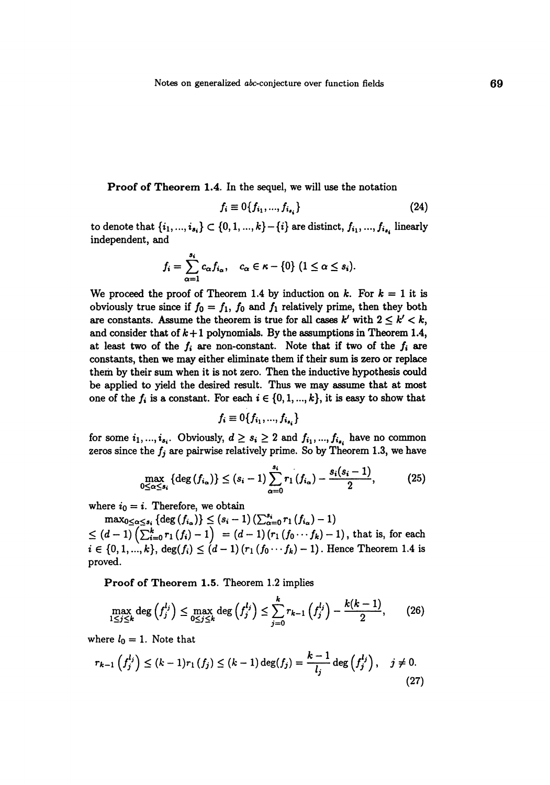Proof of Theorem 1.4. In the sequel, we will use the notation

$$
f_i \equiv 0\{f_{i_1}, ..., f_{i_{s_i}}\}\tag{24}
$$

to denote that  $\{i_1, ..., i_{s_i}\} \subset \{0, 1, ..., k\} - \{i\}$  are distinct,  $f_{i_1}, ..., f_{i_{s_i}}$  linearly independent, and

$$
f_i=\sum_{\alpha=1}^{s_i}c_{\alpha}f_{i_{\alpha}},\quad c_{\alpha}\in\kappa-\{0\}\ (1\leq\alpha\leq s_i).
$$

We proceed the proof of Theorem 1.4 by induction on k. For  $k = 1$  it is obviously true since if  $f_0 = f_1$ ,  $f_0$  and  $f_1$  relatively prime, then they both are constants. Assume the theorem is true for all cases  $k'$  with  $2 \le k' < k$ , and consider that of  $k+1$  polynomials. By the assumptions in Theorem 1.4, at least two of the  $f_i$  are non-constant. Note that if two of the  $f_i$  are constants, then we may either eliminate them if their sum is zero or replace them by their sum when it is not zero. Then the inductive hypothesis could be applied to yield the desired result. Thus we may assume that at most one of the  $f_i$  is a constant. For each  $i \in \{0, 1, ..., k\}$ , it is easy to show that

$$
f_i \equiv 0\{f_{i_1},...,f_{i_{s_i}}\}
$$

for some  $i_1, ..., i_{s_i}$ . Obviously,  $d \geq s_i \geq 2$  and  $f_{i_1}, ..., f_{i_{s_i}}$  have no common zeros since the  $f_i$  are pairwise relatively prime. So by Theorem 1.3, we have

$$
\max_{0 \leq \alpha \leq s_i} \left\{ \deg\left(f_{i_{\alpha}}\right) \right\} \leq (s_i - 1) \sum_{\alpha=0}^{s_i} r_1\left(f_{i_{\alpha}}\right) - \frac{s_i(s_i - 1)}{2},\tag{25}
$$

where  $i_0 = i$ . Therefore, we obtain

 $\max_{0 \leq \alpha \leq s_i} \left\{ \deg(f_{i_{\alpha}}) \right\} \leq (s_i - 1) \left( \sum_{\alpha=0}^{s_i} r_1 \left(f_{i_{\alpha}} \right) - 1 \right)$  $(d - 1) \left( \sum_{i=0}^{k} r_1(f_i) - 1 \right) \; = (d - 1) \left( r_1 \left( f_0 \cdots f_k \right) - 1 \right), \text{ that is, for each }$  $i \in \{0, 1, ..., k\}, \deg(f_i) \leq (d-1) (r_1 (f_0 \cdots f_k) - 1)$ . Hence Theorem 1.4 is proved.

Proof of Theorem 1.5. Theorem 1.2 implies

$$
\max_{1\leq j\leq k}\deg\left(f_j^{l_j}\right)\leq \max_{0\leq j\leq k}\deg\left(f_j^{l_j}\right)\leq \sum_{j=0}^k r_{k-1}\left(f_j^{l_j}\right)-\frac{k(k-1)}{2},\qquad(26)
$$

where  $l_0 = 1$ . Note that

$$
r_{k-1}\left(f_j^{l_j}\right) \le (k-1)r_1\left(f_j\right) \le (k-1)\deg(f_j) = \frac{k-1}{l_j}\deg\left(f_j^{l_j}\right), \quad j \ne 0. \tag{27}
$$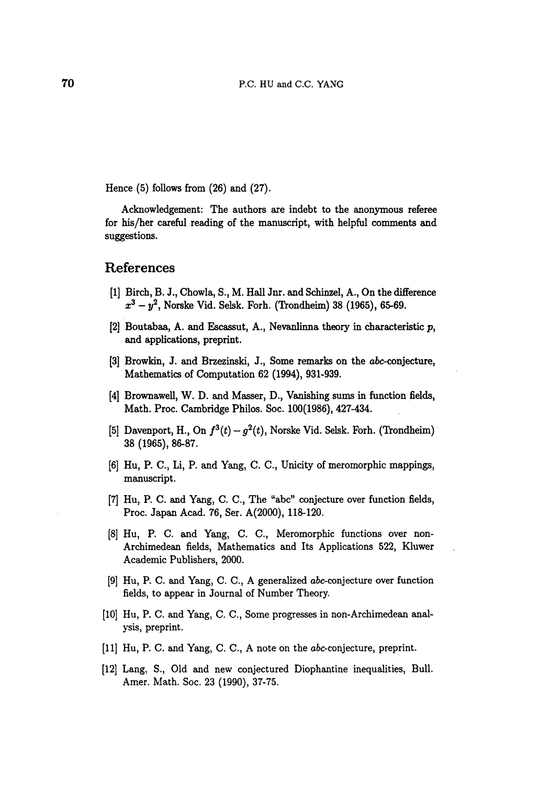Hence  $(5)$  follows from  $(26)$  and  $(27)$ .

Acknowledgement: The authors are indebt to the anonymous referee for his/her careful reading of the manuscript, with helpful comments and suggestions.

#### References

- [1] Birch, B. J., Chowla, S., M. Hall Jnr. and Schinzel, A., On the difference  $x^3 - y^2$ , Norske Vid. Selsk. Forh. (Trondheim) 38 (1965), 65-69.
- [2] Boutabaa, A. and Escassut, A., Nevanlinna theory in characteristic p, and applications, preprint.
- [3] Browkin, J. and Brzezinski, J., Some remarks on the abc-conjecture, Mathematics of Computation 62 (1994), 931-939.
- [4] Brownawell, W. D. and Masser, D., Vanishing sums in function fields, Math. Proc. Cambridge Philos. Soc. 100(1986), 427-434.
- [5] Davenport, H., On  $f^3(t) g^2(t)$ , Norske Vid. Selsk. Forh. (Trondheim) 38 (1965), 86-87.
- [6] Hu, P. C., Li, P. and Yang, C. C., Unicity of meromorphic mappings, manuscript.
- [7] Hu, P. C. and Yang, C. C., The "abc" conjecture over function fields, Proc. Japan Acad. 76, Ser. A(2000), 118-120.
- [8] Hu, P. C. and Yang, C. C., Meromorphic functions over non-Archimedean fields, Mathematics and Its Applications 522, Kluwer Academic Publishers, 2000.
- [9] Hu, P. C. and Yang, C. C., A generalized abc-conjecture over function fields, to appear in Journal of Number Theory.
- [10] Hu, P. C. and Yang, C. C., Some progresses in non-Archimedean analysis, preprint.
- [11] Hu, P. C. and Yang, C. C., A note on the abc-conjecture, preprint.
- [12] Lang, S., Old and new conjectured Diophantine inequalities, Bull. Amer. Math. Soc. 23 (1990), 37-75.